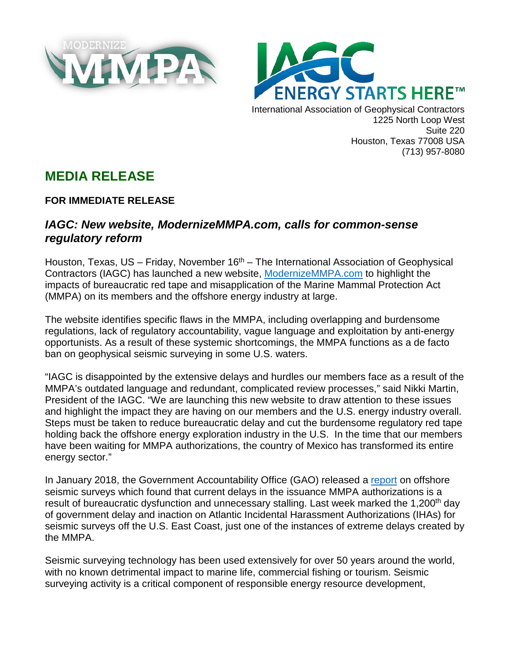



International Association of Geophysical Contractors 1225 North Loop West Suite 220 Houston, Texas 77008 USA (713) 957-8080

## **MEDIA RELEASE**

## **FOR IMMEDIATE RELEASE**

## *IAGC: New website, ModernizeMMPA.com, calls for common-sense regulatory reform*

Houston, Texas, US – Friday, November  $16<sup>th</sup>$  – The International Association of Geophysical Contractors (IAGC) has launched a new website, [ModernizeMMPA.com](https://modernizemmpa.com/home-full/) to highlight the impacts of bureaucratic red tape and misapplication of the Marine Mammal Protection Act (MMPA) on its members and the offshore energy industry at large.

The website identifies specific flaws in the MMPA, including overlapping and burdensome regulations, lack of regulatory accountability, vague language and exploitation by anti-energy opportunists. As a result of these systemic shortcomings, the MMPA functions as a de facto ban on geophysical seismic surveying in some U.S. waters.

"IAGC is disappointed by the extensive delays and hurdles our members face as a result of the MMPA's outdated language and redundant, complicated review processes," said Nikki Martin, President of the IAGC. "We are launching this new website to draw attention to these issues and highlight the impact they are having on our members and the U.S. energy industry overall. Steps must be taken to reduce bureaucratic delay and cut the burdensome regulatory red tape holding back the offshore energy exploration industry in the U.S. In the time that our members have been waiting for MMPA authorizations, the country of Mexico has transformed its entire energy sector."

In January 2018, the Government Accountability Office (GAO) released a [report](https://www.gao.gov/assets/690/688893.pdf) on offshore seismic surveys which found that current delays in the issuance MMPA authorizations is a result of bureaucratic dysfunction and unnecessary stalling. Last week marked the 1,200<sup>th</sup> day of government delay and inaction on Atlantic Incidental Harassment Authorizations (IHAs) for seismic surveys off the U.S. East Coast, just one of the instances of extreme delays created by the MMPA.

Seismic surveying technology has been used extensively for over 50 years around the world, with no known detrimental impact to marine life, commercial fishing or tourism. Seismic surveying activity is a critical component of responsible energy resource development,